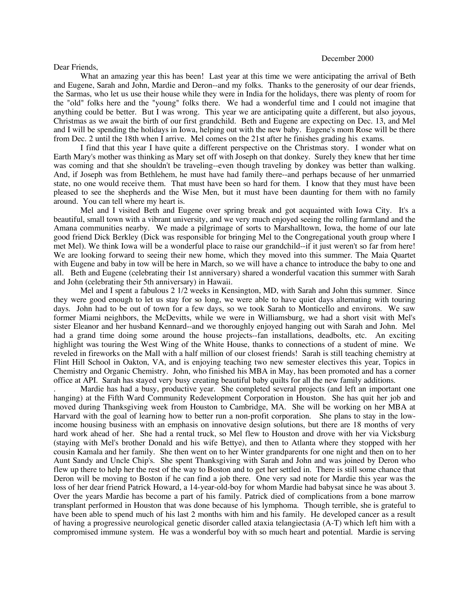## December 2000

## Dear Friends,

What an amazing year this has been! Last year at this time we were anticipating the arrival of Beth and Eugene, Sarah and John, Mardie and Deron--and my folks. Thanks to the generosity of our dear friends, the Sarmas, who let us use their house while they were in India for the holidays, there was plenty of room for the "old" folks here and the "young" folks there. We had a wonderful time and I could not imagine that anything could be better. But I was wrong. This year we are anticipating quite a different, but also joyous, Christmas as we await the birth of our first grandchild. Beth and Eugene are expecting on Dec. 13, and Mel and I will be spending the holidays in Iowa, helping out with the new baby. Eugene's mom Rose will be there from Dec. 2 until the 18th when I arrive. Mel comes on the 21st after he finishes grading his exams.

I find that this year I have quite a different perspective on the Christmas story. I wonder what on Earth Mary's mother was thinking as Mary set off with Joseph on that donkey. Surely they knew that her time was coming and that she shouldn't be traveling--even though traveling by donkey was better than walking. And, if Joseph was from Bethlehem, he must have had family there--and perhaps because of her unmarried state, no one would receive them. That must have been so hard for them. I know that they must have been pleased to see the shepherds and the Wise Men, but it must have been daunting for them with no family around. You can tell where my heart is.

Mel and I visited Beth and Eugene over spring break and got acquainted with Iowa City. It's a beautiful, small town with a vibrant university, and we very much enjoyed seeing the rolling farmland and the Amana communities nearby. We made a pilgrimage of sorts to Marshalltown, Iowa, the home of our late good friend Dick Berkley (Dick was responsible for bringing Mel to the Congregational youth group where I met Mel). We think Iowa will be a wonderful place to raise our grandchild--if it just weren't so far from here! We are looking forward to seeing their new home, which they moved into this summer. The Maia Quartet with Eugene and baby in tow will be here in March, so we will have a chance to introduce the baby to one and all. Beth and Eugene (celebrating their 1st anniversary) shared a wonderful vacation this summer with Sarah and John (celebrating their 5th anniversary) in Hawaii.

Mel and I spent a fabulous 2 1/2 weeks in Kensington, MD, with Sarah and John this summer. Since they were good enough to let us stay for so long, we were able to have quiet days alternating with touring days. John had to be out of town for a few days, so we took Sarah to Monticello and environs. We saw former Miami neighbors, the McDevitts, while we were in Williamsburg, we had a short visit with Mel's sister Eleanor and her husband Kennard--and we thoroughly enjoyed hanging out with Sarah and John. Mel had a grand time doing some around the house projects--fan installations, deadbolts, etc. An exciting highlight was touring the West Wing of the White House, thanks to connections of a student of mine. We reveled in fireworks on the Mall with a half million of our closest friends! Sarah is still teaching chemistry at Flint Hill School in Oakton, VA, and is enjoying teaching two new semester electives this year, Topics in Chemistry and Organic Chemistry. John, who finished his MBA in May, has been promoted and has a corner office at API. Sarah has stayed very busy creating beautiful baby quilts for all the new family additions.

. Mardie has had a busy, productive year. She completed several projects (and left an important one hanging) at the Fifth Ward Community Redevelopment Corporation in Houston. She has quit her job and moved during Thanksgiving week from Houston to Cambridge, MA. She will be working on her MBA at Harvard with the goal of learning how to better run a non-profit corporation. She plans to stay in the lowincome housing business with an emphasis on innovative design solutions, but there are 18 months of very hard work ahead of her. She had a rental truck, so Mel flew to Houston and drove with her via Vicksburg (staying with Mel's brother Donald and his wife Bettye), and then to Atlanta where they stopped with her cousin Kamala and her family. She then went on to her Winter grandparents for one night and then on to her Aunt Sandy and Uncle Chip's. She spent Thanksgiving with Sarah and John and was joined by Deron who flew up there to help her the rest of the way to Boston and to get her settled in. There is still some chance that Deron will be moving to Boston if he can find a job there. One very sad note for Mardie this year was the loss of her dear friend Patrick Howard, a 14-year-old-boy for whom Mardie had babysat since he was about 3. Over the years Mardie has become a part of his family. Patrick died of complications from a bone marrow transplant performed in Houston that was done because of his lymphoma. Though terrible, she is grateful to have been able to spend much of his last 2 months with him and his family. He developed cancer as a result of having a progressive neurological genetic disorder called ataxia telangiectasia (A-T) which left him with a compromised immune system. He was a wonderful boy with so much heart and potential. Mardie is serving